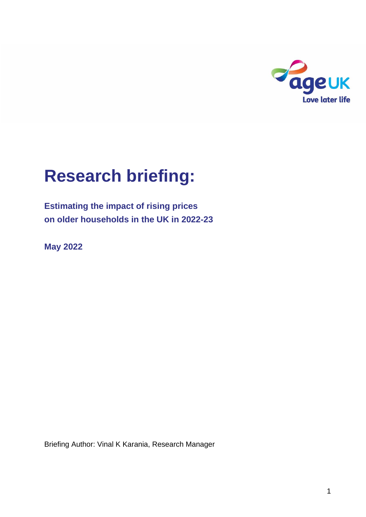

# **Research briefing:**

**Estimating the impact of rising prices on older households in the UK in 2022-23**

**May 2022**

Briefing Author: Vinal K Karania, Research Manager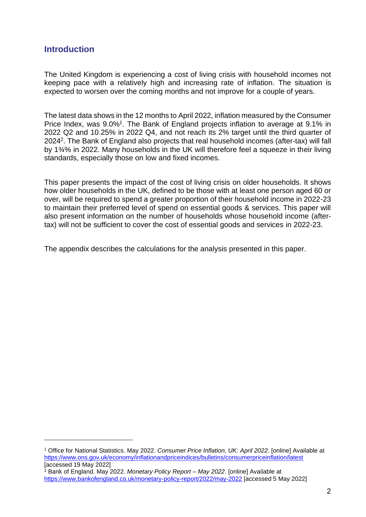## **Introduction**

The United Kingdom is experiencing a cost of living crisis with household incomes not keeping pace with a relatively high and increasing rate of inflation. The situation is expected to worsen over the coming months and not improve for a couple of years.

The latest data shows in the 12 months to April 2022, inflation measured by the Consumer Price Index, was 9.0%<sup>1</sup>. The Bank of England projects inflation to average at 9.1% in 2022 Q2 and 10.25% in 2022 Q4, and not reach its 2% target until the third quarter of 2024<sup>2</sup>. The Bank of England also projects that real household incomes (after-tax) will fall by 1¾% in 2022. Many households in the UK will therefore feel a squeeze in their living standards, especially those on low and fixed incomes.

This paper presents the impact of the cost of living crisis on older households. It shows how older households in the UK, defined to be those with at least one person aged 60 or over, will be required to spend a greater proportion of their household income in 2022-23 to maintain their preferred level of spend on essential goods & services. This paper will also present information on the number of households whose household income (aftertax) will not be sufficient to cover the cost of essential goods and services in 2022-23.

The appendix describes the calculations for the analysis presented in this paper.

<sup>1</sup> Office for National Statistics. May 2022. *Consumer Price Inflation, UK: April 2022*. [online] Available at <https://www.ons.gov.uk/economy/inflationandpriceindices/bulletins/consumerpriceinflation/latest> [accessed 19 May 2022]

<sup>2</sup> Bank of England. May 2022. *Monetary Policy Report – May 2022*. [online] Available at <https://www.bankofengland.co.uk/monetary-policy-report/2022/may-2022> [accessed 5 May 2022]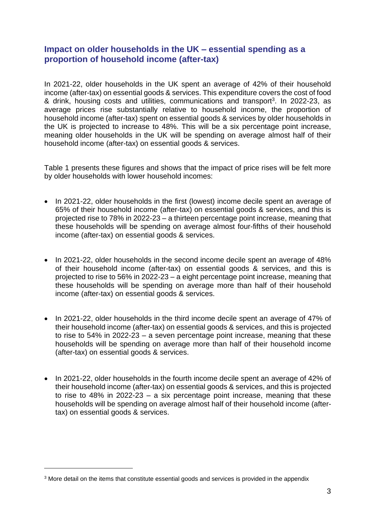## **Impact on older households in the UK – essential spending as a proportion of household income (after-tax)**

In 2021-22, older households in the UK spent an average of 42% of their household income (after-tax) on essential goods & services. This expenditure covers the cost of food & drink, housing costs and utilities, communications and transport<sup>3</sup>. In 2022-23, as average prices rise substantially relative to household income, the proportion of household income (after-tax) spent on essential goods & services by older households in the UK is projected to increase to 48%. This will be a six percentage point increase, meaning older households in the UK will be spending on average almost half of their household income (after-tax) on essential goods & services.

Table 1 presents these figures and shows that the impact of price rises will be felt more by older households with lower household incomes:

- In 2021-22, older households in the first (lowest) income decile spent an average of 65% of their household income (after-tax) on essential goods & services, and this is projected rise to 78% in 2022-23 – a thirteen percentage point increase, meaning that these households will be spending on average almost four-fifths of their household income (after-tax) on essential goods & services.
- In 2021-22, older households in the second income decile spent an average of 48% of their household income (after-tax) on essential goods & services, and this is projected to rise to 56% in 2022-23 – a eight percentage point increase, meaning that these households will be spending on average more than half of their household income (after-tax) on essential goods & services.
- In 2021-22, older households in the third income decile spent an average of 47% of their household income (after-tax) on essential goods & services, and this is projected to rise to 54% in 2022-23 – a seven percentage point increase, meaning that these households will be spending on average more than half of their household income (after-tax) on essential goods & services.
- In 2021-22, older households in the fourth income decile spent an average of 42% of their household income (after-tax) on essential goods & services, and this is projected to rise to 48% in 2022-23 – a six percentage point increase, meaning that these households will be spending on average almost half of their household income (aftertax) on essential goods & services.

<sup>&</sup>lt;sup>3</sup> More detail on the items that constitute essential goods and services is provided in the appendix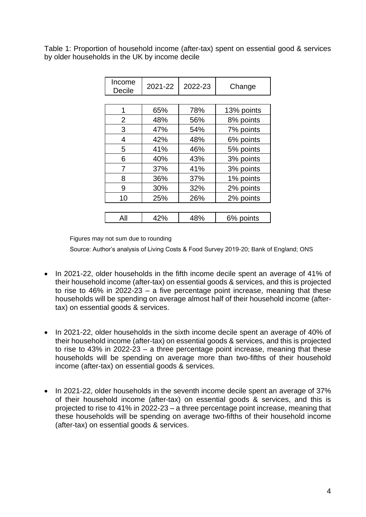Table 1: Proportion of household income (after-tax) spent on essential good & services by older households in the UK by income decile

| Income<br>Decile | 2021-22 | 2022-23 | Change     |
|------------------|---------|---------|------------|
|                  |         |         |            |
| 1                | 65%     | 78%     | 13% points |
| $\overline{2}$   | 48%     | 56%     | 8% points  |
| 3                | 47%     | 54%     | 7% points  |
| 4                | 42%     | 48%     | 6% points  |
| 5                | 41%     | 46%     | 5% points  |
| 6                | 40%     | 43%     | 3% points  |
| 7                | 37%     | 41%     | 3% points  |
| 8                | 36%     | 37%     | 1% points  |
| 9                | 30%     | 32%     | 2% points  |
| 10               | 25%     | 26%     | 2% points  |
|                  |         |         |            |
| All              | 42%     | 48%     | 6% points  |

Figures may not sum due to rounding

Source: Author's analysis of Living Costs & Food Survey 2019-20; Bank of England; ONS

- In 2021-22, older households in the fifth income decile spent an average of 41% of their household income (after-tax) on essential goods & services, and this is projected to rise to 46% in 2022-23 – a five percentage point increase, meaning that these households will be spending on average almost half of their household income (aftertax) on essential goods & services.
- In 2021-22, older households in the sixth income decile spent an average of 40% of their household income (after-tax) on essential goods & services, and this is projected to rise to 43% in 2022-23 – a three percentage point increase, meaning that these households will be spending on average more than two-fifths of their household income (after-tax) on essential goods & services.
- In 2021-22, older households in the seventh income decile spent an average of 37% of their household income (after-tax) on essential goods & services, and this is projected to rise to 41% in 2022-23 – a three percentage point increase, meaning that these households will be spending on average two-fifths of their household income (after-tax) on essential goods & services.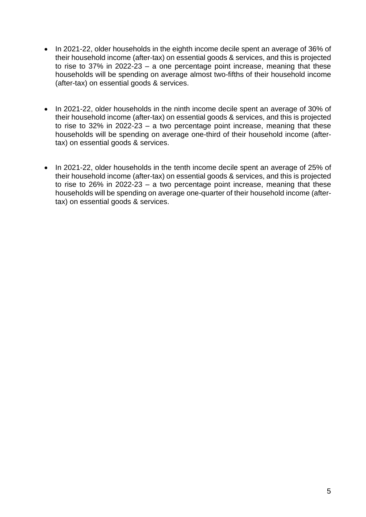- In 2021-22, older households in the eighth income decile spent an average of 36% of their household income (after-tax) on essential goods & services, and this is projected to rise to 37% in 2022-23 – a one percentage point increase, meaning that these households will be spending on average almost two-fifths of their household income (after-tax) on essential goods & services.
- In 2021-22, older households in the ninth income decile spent an average of 30% of their household income (after-tax) on essential goods & services, and this is projected to rise to 32% in 2022-23 – a two percentage point increase, meaning that these households will be spending on average one-third of their household income (aftertax) on essential goods & services.
- In 2021-22, older households in the tenth income decile spent an average of 25% of their household income (after-tax) on essential goods & services, and this is projected to rise to 26% in 2022-23 – a two percentage point increase, meaning that these households will be spending on average one-quarter of their household income (aftertax) on essential goods & services.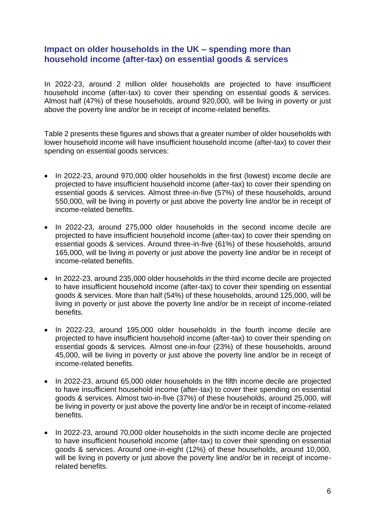## **Impact on older households in the UK – spending more than household income (after-tax) on essential goods & services**

In 2022-23, around 2 million older households are projected to have insufficient household income (after-tax) to cover their spending on essential goods & services. Almost half (47%) of these households, around 920,000, will be living in poverty or just above the poverty line and/or be in receipt of income-related benefits.

Table 2 presents these figures and shows that a greater number of older households with lower household income will have insufficient household income (after-tax) to cover their spending on essential goods services:

- In 2022-23, around 970,000 older households in the first (lowest) income decile are projected to have insufficient household income (after-tax) to cover their spending on essential goods & services. Almost three-in-five (57%) of these households, around 550,000, will be living in poverty or just above the poverty line and/or be in receipt of income-related benefits.
- In 2022-23, around 275,000 older households in the second income decile are projected to have insufficient household income (after-tax) to cover their spending on essential goods & services. Around three-in-five (61%) of these households, around 165,000, will be living in poverty or just above the poverty line and/or be in receipt of income-related benefits.
- In 2022-23, around 235,000 older households in the third income decile are projected to have insufficient household income (after-tax) to cover their spending on essential goods & services. More than half (54%) of these households, around 125,000, will be living in poverty or just above the poverty line and/or be in receipt of income-related benefits.
- In 2022-23, around 195,000 older households in the fourth income decile are projected to have insufficient household income (after-tax) to cover their spending on essential goods & services. Almost one-in-four (23%) of these households, around 45,000, will be living in poverty or just above the poverty line and/or be in receipt of income-related benefits.
- In 2022-23, around 65,000 older households in the fifth income decile are projected to have insufficient household income (after-tax) to cover their spending on essential goods & services. Almost two-in-five (37%) of these households, around 25,000, will be living in poverty or just above the poverty line and/or be in receipt of income-related benefits.
- In 2022-23, around 70,000 older households in the sixth income decile are projected to have insufficient household income (after-tax) to cover their spending on essential goods & services. Around one-in-eight (12%) of these households, around 10,000, will be living in poverty or just above the poverty line and/or be in receipt of incomerelated benefits.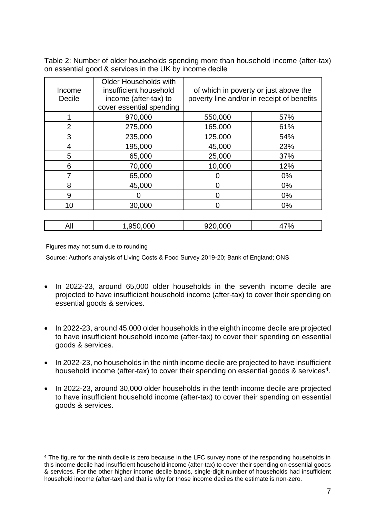Table 2: Number of older households spending more than household income (after-tax) on essential good & services in the UK by income decile

| Income<br>Decile | <b>Older Households with</b><br>insufficient household<br>income (after-tax) to<br>cover essential spending | of which in poverty or just above the<br>poverty line and/or in receipt of benefits |       |
|------------------|-------------------------------------------------------------------------------------------------------------|-------------------------------------------------------------------------------------|-------|
|                  | 970,000                                                                                                     | 550,000                                                                             | 57%   |
| $\overline{2}$   | 275,000                                                                                                     | 165,000                                                                             | 61%   |
| 3                | 235,000                                                                                                     | 125,000                                                                             | 54%   |
| 4                | 195,000                                                                                                     | 45,000                                                                              | 23%   |
| 5                | 65,000                                                                                                      | 25,000                                                                              | 37%   |
| 6                | 70,000                                                                                                      | 10,000                                                                              | 12%   |
| 7                | 65,000                                                                                                      |                                                                                     | $0\%$ |
| 8                | 45,000                                                                                                      | 0                                                                                   | $0\%$ |
| 9                |                                                                                                             | $\Omega$                                                                            | $0\%$ |
| 10               | 30,000                                                                                                      | 0                                                                                   | $0\%$ |

| All | 950.000 | $\sim$ $\sim$<br>JÜ | $-$<br><b>70</b><br>т 1 |
|-----|---------|---------------------|-------------------------|
|     |         |                     |                         |

Figures may not sum due to rounding

Source: Author's analysis of Living Costs & Food Survey 2019-20; Bank of England; ONS

- In 2022-23, around 65,000 older households in the seventh income decile are projected to have insufficient household income (after-tax) to cover their spending on essential goods & services.
- In 2022-23, around 45,000 older households in the eighth income decile are projected to have insufficient household income (after-tax) to cover their spending on essential goods & services.
- In 2022-23, no households in the ninth income decile are projected to have insufficient household income (after-tax) to cover their spending on essential goods & services<sup>4</sup>.
- In 2022-23, around 30,000 older households in the tenth income decile are projected to have insufficient household income (after-tax) to cover their spending on essential goods & services.

<sup>4</sup> The figure for the ninth decile is zero because in the LFC survey none of the responding households in this income decile had insufficient household income (after-tax) to cover their spending on essential goods & services. For the other higher income decile bands, single-digit number of households had insufficient household income (after-tax) and that is why for those income deciles the estimate is non-zero.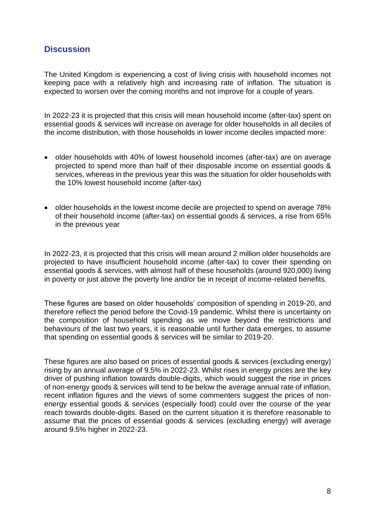# **Discussion**

The United Kingdom is experiencing a cost of living crisis with household incomes not keeping pace with a relatively high and increasing rate of inflation. The situation is expected to worsen over the coming months and not improve for a couple of years.

In 2022-23 it is projected that this crisis will mean household income (after-tax) spent on essential goods & services will increase on average for older households in all deciles of the income distribution, with those households in lower income deciles impacted more:

- older households with 40% of lowest household incomes (after-tax) are on average projected to spend more than half of their disposable income on essential goods & services, whereas in the previous year this was the situation for older households with the 10% lowest household income (after-tax)
- older households in the lowest income decile are projected to spend on average 78% of their household income (after-tax) on essential goods & services, a rise from 65% in the previous year

In 2022-23, it is projected that this crisis will mean around 2 million older households are projected to have insufficient household income (after-tax) to cover their spending on essential goods & services, with almost half of these households (around 920,000) living in poverty or just above the poverty line and/or be in receipt of income-related benefits.

These figures are based on older households' composition of spending in 2019-20, and therefore reflect the period before the Covid-19 pandemic. Whilst there is uncertainty on the composition of household spending as we move beyond the restrictions and behaviours of the last two years, it is reasonable until further data emerges, to assume that spending on essential goods & services will be similar to 2019-20.

These figures are also based on prices of essential goods & services (excluding energy) rising by an annual average of 9.5% in 2022-23. Whilst rises in energy prices are the key driver of pushing inflation towards double-digits, which would suggest the rise in prices of non-energy goods & services will tend to be below the average annual rate of inflation, recent inflation figures and the views of some commenters suggest the prices of nonenergy essential goods & services (especially food) could over the course of the year reach towards double-digits. Based on the current situation it is therefore reasonable to assume that the prices of essential goods & services (excluding energy) will average around 9.5% higher in 2022-23.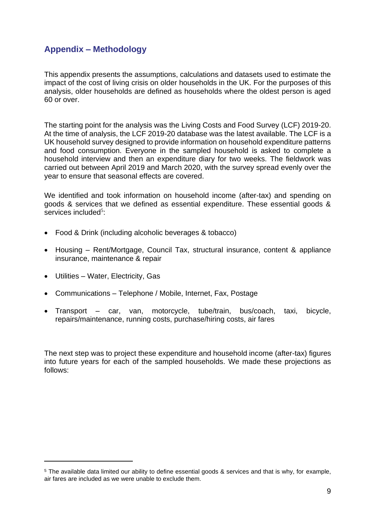# **Appendix – Methodology**

This appendix presents the assumptions, calculations and datasets used to estimate the impact of the cost of living crisis on older households in the UK. For the purposes of this analysis, older households are defined as households where the oldest person is aged 60 or over.

The starting point for the analysis was the Living Costs and Food Survey (LCF) 2019-20. At the time of analysis, the LCF 2019-20 database was the latest available. The LCF is a UK household survey designed to provide information on household expenditure patterns and food consumption. Everyone in the sampled household is asked to complete a household interview and then an expenditure diary for two weeks. The fieldwork was carried out between April 2019 and March 2020, with the survey spread evenly over the year to ensure that seasonal effects are covered.

We identified and took information on household income (after-tax) and spending on goods & services that we defined as essential expenditure. These essential goods & services included<sup>5</sup>:

- Food & Drink (including alcoholic beverages & tobacco)
- Housing Rent/Mortgage, Council Tax, structural insurance, content & appliance insurance, maintenance & repair
- Utilities Water, Electricity, Gas
- Communications Telephone / Mobile, Internet, Fax, Postage
- Transport car, van, motorcycle, tube/train, bus/coach, taxi, bicycle, repairs/maintenance, running costs, purchase/hiring costs, air fares

The next step was to project these expenditure and household income (after-tax) figures into future years for each of the sampled households. We made these projections as follows:

<sup>5</sup> The available data limited our ability to define essential goods & services and that is why, for example, air fares are included as we were unable to exclude them.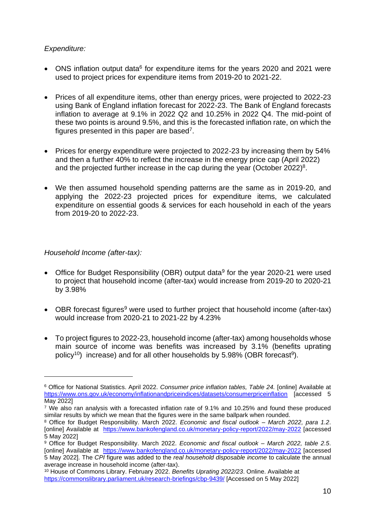### *Expenditure:*

- ONS inflation output data<sup>6</sup> for expenditure items for the years 2020 and 2021 were used to project prices for expenditure items from 2019-20 to 2021-22.
- Prices of all expenditure items, other than energy prices, were projected to 2022-23 using Bank of England inflation forecast for 2022-23. The Bank of England forecasts inflation to average at 9.1% in 2022 Q2 and 10.25% in 2022 Q4. The mid-point of these two points is around 9.5%, and this is the forecasted inflation rate, on which the figures presented in this paper are based<sup>7</sup>.
- Prices for energy expenditure were projected to 2022-23 by increasing them by 54% and then a further 40% to reflect the increase in the energy price cap (April 2022) and the projected further increase in the cap during the year (October 2022)<sup>8</sup>.
- We then assumed household spending patterns are the same as in 2019-20, and applying the 2022-23 projected prices for expenditure items, we calculated expenditure on essential goods & services for each household in each of the years from 2019-20 to 2022-23.

#### *Household Income (after-tax):*

- <span id="page-9-0"></span>• Office for Budget Responsibility (OBR) output data<sup>9</sup> for the year 2020-21 were used to project that household income (after-tax) would increase from 2019-20 to 2020-21 by 3.98%
- OBR forecast figures<sup>[9](#page-9-0)</sup> were used to further project that household income (after-tax) would increase from 2020-21 to 2021-22 by 4.23%
- To project figures to 2022-23, household income (after-tax) among households whose main source of income was benefits was increased by 3.1% (benefits uprating policy<sup>10</sup>) increase) and for all other households by 5.[9](#page-9-0)8% (OBR forecast<sup>9</sup>).

<sup>6</sup> Office for National Statistics. April 2022. *Consumer price inflation tables, Table 24.* [online] Available at <https://www.ons.gov.uk/economy/inflationandpriceindices/datasets/consumerpriceinflation> [accessed 5 May 2022]

<sup>&</sup>lt;sup>7</sup> We also ran analysis with a forecasted inflation rate of 9.1% and 10.25% and found these produced similar results by which we mean that the figures were in the same ballpark when rounded.

<sup>8</sup> Office for Budget Responsibility. March 2022. *Economic and fiscal outlook – March 2022, para 1.2*. [online] Available at <https://www.bankofengland.co.uk/monetary-policy-report/2022/may-2022> [accessed 5 May 2022]

<sup>9</sup> Office for Budget Responsibility. March 2022. *Economic and fiscal outlook – March 2022, table 2.5*. [online] Available at <https://www.bankofengland.co.uk/monetary-policy-report/2022/may-2022> [accessed 5 May 2022]. The *CPI* figure was added to the *real household disposable income* to calculate the annual average increase in household income (after-tax).

<sup>10</sup> House of Commons Library. February 2022. *Benefits Uprating 2022/23*. Online. Available at <https://commonslibrary.parliament.uk/research-briefings/cbp-9439/> [Accessed on 5 May 2022]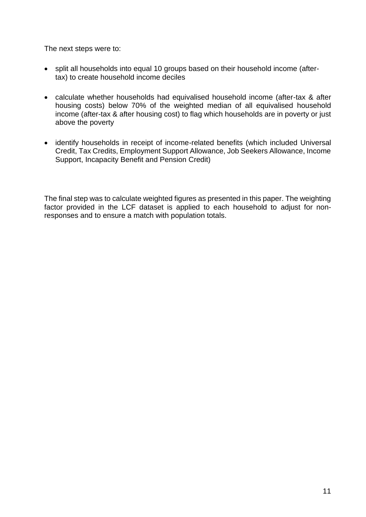The next steps were to:

- split all households into equal 10 groups based on their household income (aftertax) to create household income deciles
- calculate whether households had equivalised household income (after-tax & after housing costs) below 70% of the weighted median of all equivalised household income (after-tax & after housing cost) to flag which households are in poverty or just above the poverty
- identify households in receipt of income-related benefits (which included Universal Credit, Tax Credits, Employment Support Allowance, Job Seekers Allowance, Income Support, Incapacity Benefit and Pension Credit)

The final step was to calculate weighted figures as presented in this paper. The weighting factor provided in the LCF dataset is applied to each household to adjust for nonresponses and to ensure a match with population totals.